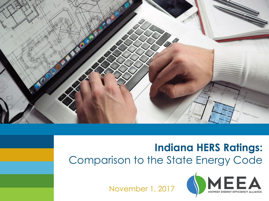

# **Indiana HERS Ratings:** Comparison to the State Energy Code

November 1, 2017

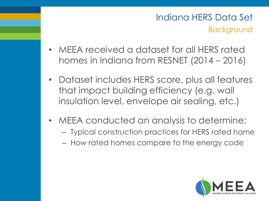# *Background* Indiana HERS Data Set

- MEEA received a dataset for all HERS rated homes in Indiana from RESNET (2014 – 2016)
- Dataset includes HERS score, plus all features that impact building efficiency (e.g. wall insulation level, envelope air sealing, etc.)
- MEEA conducted an analysis to determine:
	- Typical construction practices for HERS rated home
	- How rated homes compare to the energy code

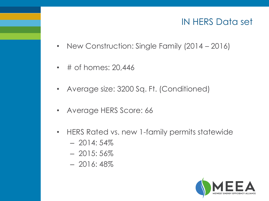## IN HERS Data set

- New Construction: Single Family (2014 2016)
- # of homes: 20,446
- Average size: 3200 Sq. Ft. (Conditioned)
- Average HERS Score: 66
- HERS Rated vs. new 1-family permits statewide
	- $-2014:54\%$
	- $-2015:56\%$
	- $-2016:48\%$

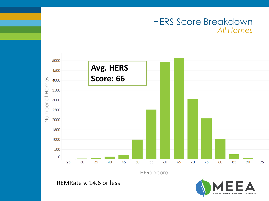#### *All Homes* HERS Score Breakdown



HERS Score

REMRate v. 14.6 or less

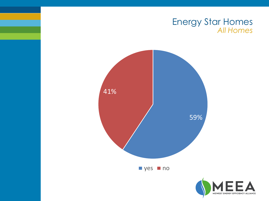#### *All Homes* Energy Star Homes



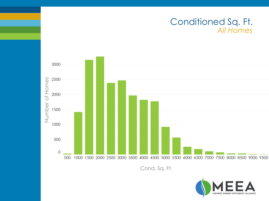

Cond. Sq. Ft.

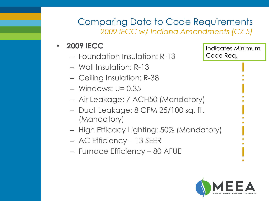## *2009 IECC w/ Indiana Amendments (CZ 5)* Comparing Data to Code Requirements

#### • **2009 IECC**

- Foundation Insulation: R-13
- Wall Insulation: R-13
- Ceiling Insulation: R-38
- Windows: U= 0.35
- Air Leakage: 7 ACH50 (Mandatory)
- Duct Leakage: 8 CFM 25/100 sq. ft. (Mandatory)
- High Efficacy Lighting: 50% (Mandatory)
- AC Efficiency 13 SEER
- Furnace Efficiency 80 AFUE

Indicates Minimum Code Req.

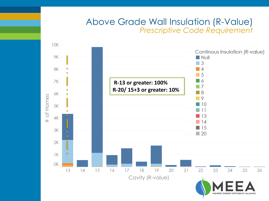#### *Prescriptive Code Requirement* Above Grade Wall Insulation (R-Value)

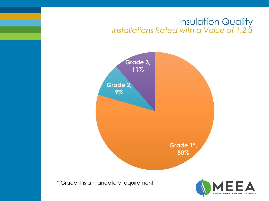#### *Installations Rated with a Value of 1,2,3* Insulation Quality

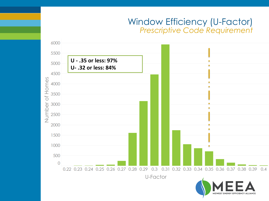#### *Prescriptive Code Requirement* Window Efficiency (U-Factor)

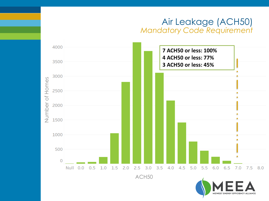#### *Mandatory Code Requirement* Air Leakage (ACH50)

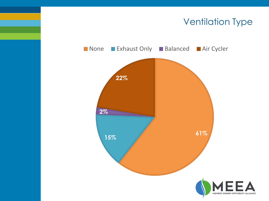## Ventilation Type

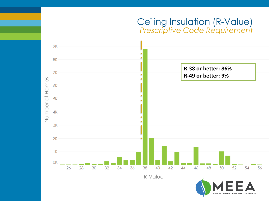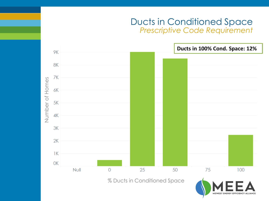#### *Prescriptive Code Requirement* Ducts in Conditioned Space

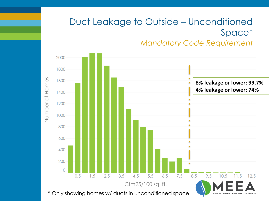# Duct Leakage to Outside – Unconditioned Space\*

*Mandatory Code Requirement*

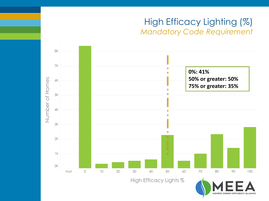## *Mandatory Code Requirement* High Efficacy Lighting (%)

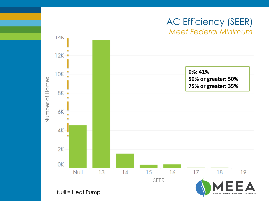## *Meet Federal Minimum* AC Efficiency (SEER)